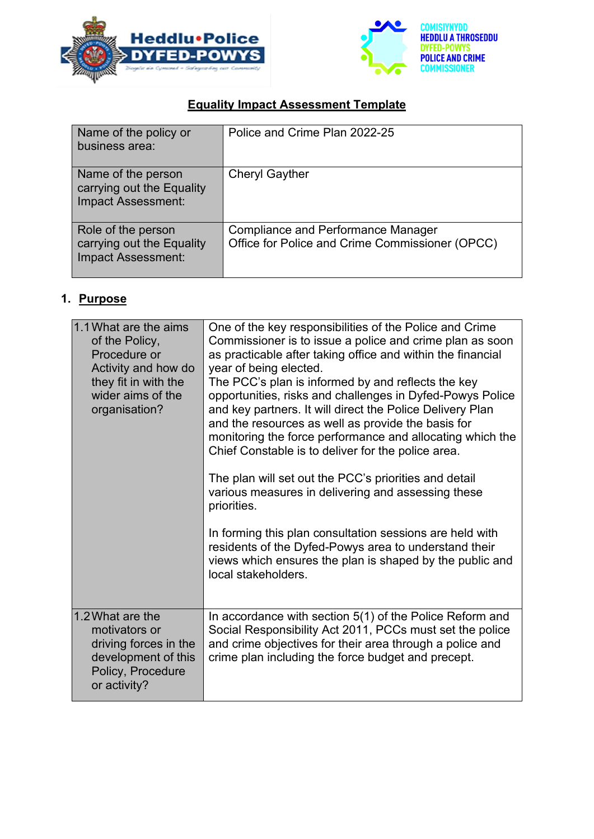



# **Equality Impact Assessment Template**

| Name of the policy or<br>business area:                               | Police and Crime Plan 2022-25                                                                |
|-----------------------------------------------------------------------|----------------------------------------------------------------------------------------------|
| Name of the person<br>carrying out the Equality<br>Impact Assessment: | <b>Cheryl Gayther</b>                                                                        |
| Role of the person<br>carrying out the Equality<br>Impact Assessment: | <b>Compliance and Performance Manager</b><br>Office for Police and Crime Commissioner (OPCC) |

# **1. Purpose**

| 1.1 What are the aims<br>of the Policy,<br>Procedure or<br>Activity and how do<br>they fit in with the<br>wider aims of the<br>organisation? | One of the key responsibilities of the Police and Crime<br>Commissioner is to issue a police and crime plan as soon<br>as practicable after taking office and within the financial<br>year of being elected.<br>The PCC's plan is informed by and reflects the key<br>opportunities, risks and challenges in Dyfed-Powys Police<br>and key partners. It will direct the Police Delivery Plan<br>and the resources as well as provide the basis for<br>monitoring the force performance and allocating which the<br>Chief Constable is to deliver for the police area.<br>The plan will set out the PCC's priorities and detail<br>various measures in delivering and assessing these<br>priorities.<br>In forming this plan consultation sessions are held with<br>residents of the Dyfed-Powys area to understand their<br>views which ensures the plan is shaped by the public and<br>local stakeholders. |
|----------------------------------------------------------------------------------------------------------------------------------------------|-------------------------------------------------------------------------------------------------------------------------------------------------------------------------------------------------------------------------------------------------------------------------------------------------------------------------------------------------------------------------------------------------------------------------------------------------------------------------------------------------------------------------------------------------------------------------------------------------------------------------------------------------------------------------------------------------------------------------------------------------------------------------------------------------------------------------------------------------------------------------------------------------------------|
|                                                                                                                                              |                                                                                                                                                                                                                                                                                                                                                                                                                                                                                                                                                                                                                                                                                                                                                                                                                                                                                                             |
| 1.2 What are the<br>motivators or<br>driving forces in the<br>development of this<br>Policy, Procedure<br>or activity?                       | In accordance with section 5(1) of the Police Reform and<br>Social Responsibility Act 2011, PCCs must set the police<br>and crime objectives for their area through a police and<br>crime plan including the force budget and precept.                                                                                                                                                                                                                                                                                                                                                                                                                                                                                                                                                                                                                                                                      |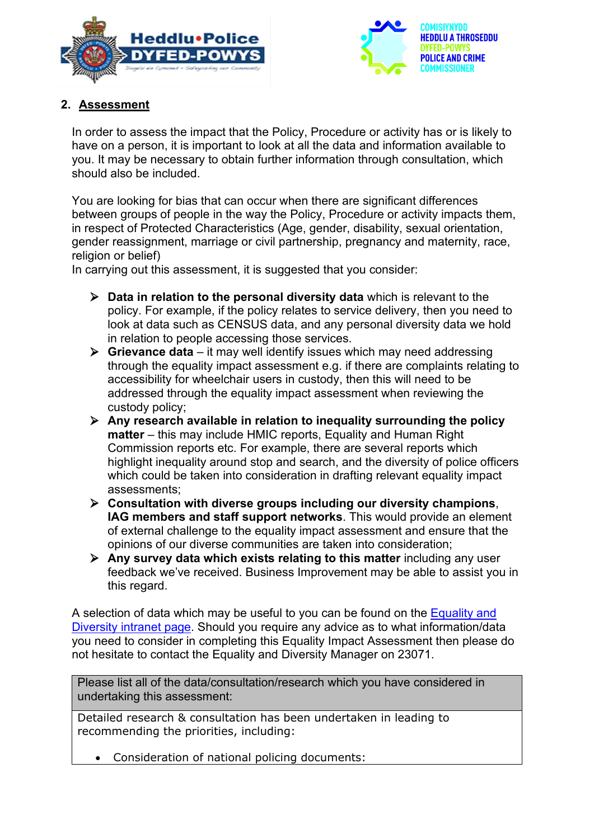



# **2. Assessment**

In order to assess the impact that the Policy, Procedure or activity has or is likely to have on a person, it is important to look at all the data and information available to you. It may be necessary to obtain further information through consultation, which should also be included.

You are looking for bias that can occur when there are significant differences between groups of people in the way the Policy, Procedure or activity impacts them, in respect of Protected Characteristics (Age, gender, disability, sexual orientation, gender reassignment, marriage or civil partnership, pregnancy and maternity, race, religion or belief)

In carrying out this assessment, it is suggested that you consider:

- **Data in relation to the personal diversity data** which is relevant to the policy. For example, if the policy relates to service delivery, then you need to look at data such as CENSUS data, and any personal diversity data we hold in relation to people accessing those services.
- **Grievance data** it may well identify issues which may need addressing through the equality impact assessment e.g. if there are complaints relating to accessibility for wheelchair users in custody, then this will need to be addressed through the equality impact assessment when reviewing the custody policy;
- **Any research available in relation to inequality surrounding the policy matter** – this may include HMIC reports, Equality and Human Right Commission reports etc. For example, there are several reports which highlight inequality around stop and search, and the diversity of police officers which could be taken into consideration in drafting relevant equality impact assessments;
- **Consultation with diverse groups including our diversity champions**, **IAG members and staff support networks**. This would provide an element of external challenge to the equality impact assessment and ensure that the opinions of our diverse communities are taken into consideration;
- **Any survey data which exists relating to this matter** including any user feedback we've received. Business Improvement may be able to assist you in this regard.

A selection of data which may be useful to you can be found on the [Equality and](http://dppi/sites/?siteID=116&pageInstanceID=52664&pageID=136)  [Diversity intranet page.](http://dppi/sites/?siteID=116&pageInstanceID=52664&pageID=136) Should you require any advice as to what information/data you need to consider in completing this Equality Impact Assessment then please do not hesitate to contact the Equality and Diversity Manager on 23071.

Please list all of the data/consultation/research which you have considered in undertaking this assessment:

Detailed research & consultation has been undertaken in leading to recommending the priorities, including:

• Consideration of national policing documents: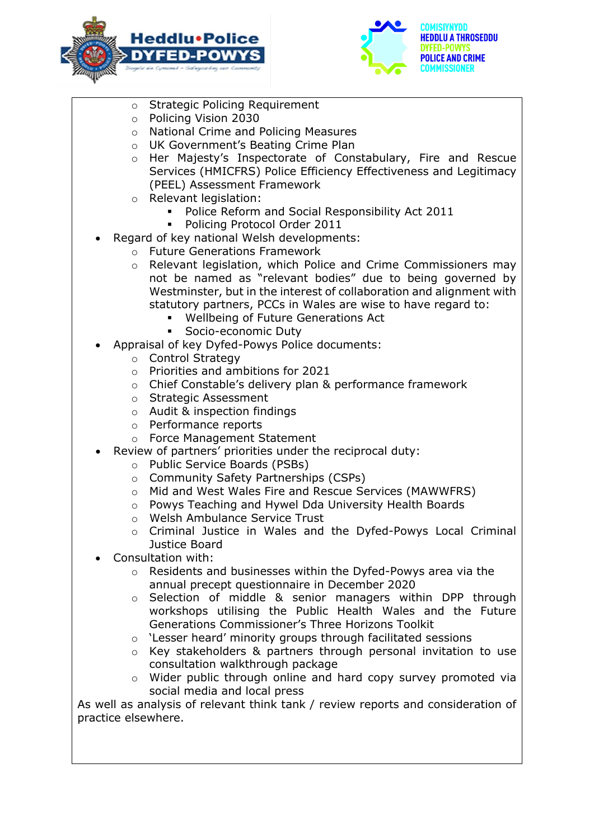



- o Strategic Policing Requirement
- o Policing Vision 2030
- o National Crime and Policing Measures
- o UK Government's Beating Crime Plan
- o Her Majesty's Inspectorate of Constabulary, Fire and Rescue Services (HMICFRS) Police Efficiency Effectiveness and Legitimacy (PEEL) Assessment Framework
- o Relevant legislation:
	- Police Reform and Social Responsibility Act 2011
	- Policing Protocol Order 2011
- Regard of key national Welsh developments:
	- o Future Generations Framework
	- o Relevant legislation, which Police and Crime Commissioners may not be named as "relevant bodies" due to being governed by Westminster, but in the interest of collaboration and alignment with statutory partners, PCCs in Wales are wise to have regard to:
		- Wellbeing of Future Generations Act
		- **Socio-economic Duty**
- Appraisal of key Dyfed-Powys Police documents:
	- o Control Strategy
	- o Priorities and ambitions for 2021
	- o Chief Constable's delivery plan & performance framework
	- o Strategic Assessment
	- o Audit & inspection findings
	- o Performance reports
	- o Force Management Statement
- Review of partners' priorities under the reciprocal duty:
	- o Public Service Boards (PSBs)
	- o Community Safety Partnerships (CSPs)
	- o Mid and West Wales Fire and Rescue Services (MAWWFRS)
	- o Powys Teaching and Hywel Dda University Health Boards
	- o Welsh Ambulance Service Trust
	- o Criminal Justice in Wales and the Dyfed-Powys Local Criminal Justice Board
- Consultation with:
	- o Residents and businesses within the Dyfed-Powys area via the annual precept questionnaire in December 2020
	- o Selection of middle & senior managers within DPP through workshops utilising the Public Health Wales and the Future Generations Commissioner's Three Horizons Toolkit
	- o 'Lesser heard' minority groups through facilitated sessions
	- $\circ$  Key stakeholders & partners through personal invitation to use consultation walkthrough package
	- o Wider public through online and hard copy survey promoted via social media and local press

As well as analysis of relevant think tank / review reports and consideration of practice elsewhere.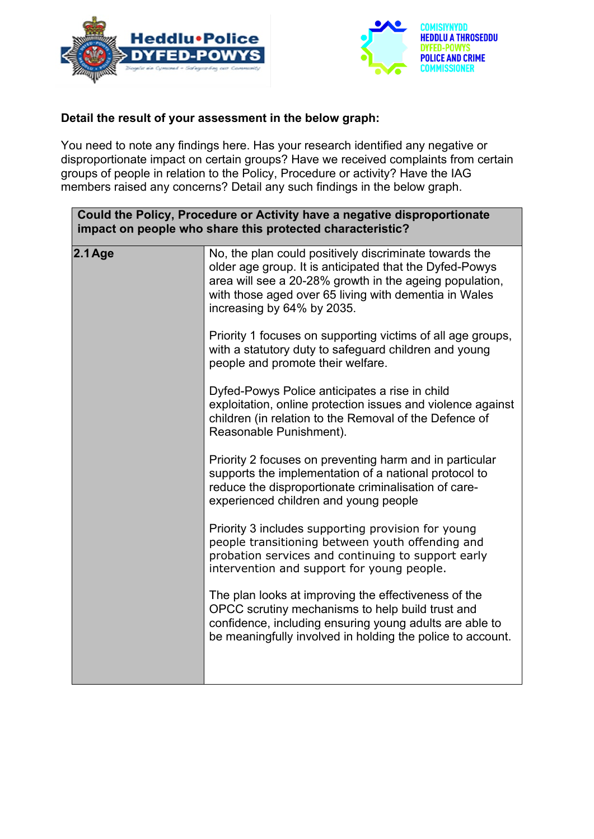



#### **Detail the result of your assessment in the below graph:**

You need to note any findings here. Has your research identified any negative or disproportionate impact on certain groups? Have we received complaints from certain groups of people in relation to the Policy, Procedure or activity? Have the IAG members raised any concerns? Detail any such findings in the below graph.

| Could the Policy, Procedure or Activity have a negative disproportionate<br>impact on people who share this protected characteristic? |                                                                                                                                                                                                                                                                     |
|---------------------------------------------------------------------------------------------------------------------------------------|---------------------------------------------------------------------------------------------------------------------------------------------------------------------------------------------------------------------------------------------------------------------|
| $2.1$ Age                                                                                                                             | No, the plan could positively discriminate towards the<br>older age group. It is anticipated that the Dyfed-Powys<br>area will see a 20-28% growth in the ageing population,<br>with those aged over 65 living with dementia in Wales<br>increasing by 64% by 2035. |
|                                                                                                                                       | Priority 1 focuses on supporting victims of all age groups,<br>with a statutory duty to safeguard children and young<br>people and promote their welfare.                                                                                                           |
|                                                                                                                                       | Dyfed-Powys Police anticipates a rise in child<br>exploitation, online protection issues and violence against<br>children (in relation to the Removal of the Defence of<br>Reasonable Punishment).                                                                  |
|                                                                                                                                       | Priority 2 focuses on preventing harm and in particular<br>supports the implementation of a national protocol to<br>reduce the disproportionate criminalisation of care-<br>experienced children and young people                                                   |
|                                                                                                                                       | Priority 3 includes supporting provision for young<br>people transitioning between youth offending and<br>probation services and continuing to support early<br>intervention and support for young people.                                                          |
|                                                                                                                                       | The plan looks at improving the effectiveness of the<br>OPCC scrutiny mechanisms to help build trust and<br>confidence, including ensuring young adults are able to<br>be meaningfully involved in holding the police to account.                                   |
|                                                                                                                                       |                                                                                                                                                                                                                                                                     |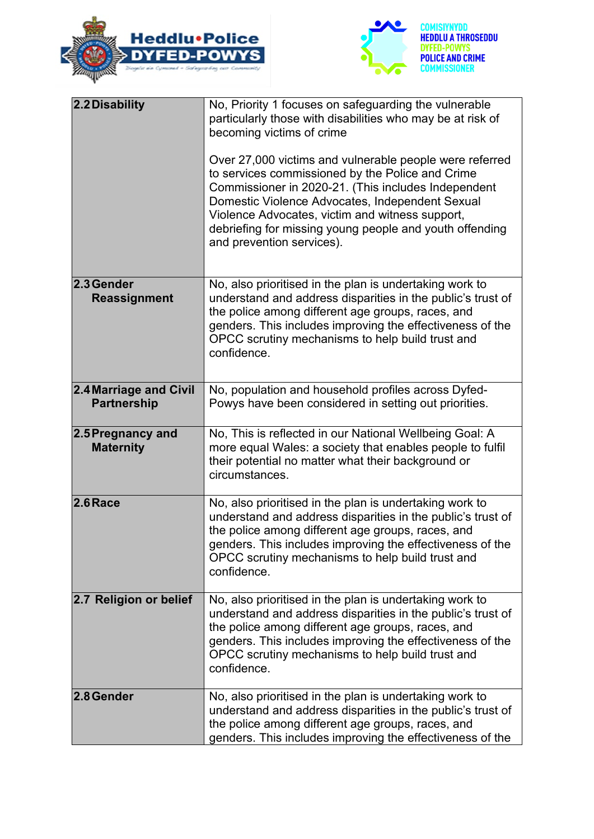



| 2.2 Disability                                      | No, Priority 1 focuses on safeguarding the vulnerable<br>particularly those with disabilities who may be at risk of<br>becoming victims of crime<br>Over 27,000 victims and vulnerable people were referred<br>to services commissioned by the Police and Crime<br>Commissioner in 2020-21. (This includes Independent<br>Domestic Violence Advocates, Independent Sexual<br>Violence Advocates, victim and witness support,<br>debriefing for missing young people and youth offending<br>and prevention services). |
|-----------------------------------------------------|----------------------------------------------------------------------------------------------------------------------------------------------------------------------------------------------------------------------------------------------------------------------------------------------------------------------------------------------------------------------------------------------------------------------------------------------------------------------------------------------------------------------|
| 2.3 Gender<br>Reassignment                          | No, also prioritised in the plan is undertaking work to<br>understand and address disparities in the public's trust of<br>the police among different age groups, races, and<br>genders. This includes improving the effectiveness of the<br>OPCC scrutiny mechanisms to help build trust and<br>confidence.                                                                                                                                                                                                          |
| <b>2.4 Marriage and Civil</b><br><b>Partnership</b> | No, population and household profiles across Dyfed-<br>Powys have been considered in setting out priorities.                                                                                                                                                                                                                                                                                                                                                                                                         |
| 2.5 Pregnancy and<br><b>Maternity</b>               | No, This is reflected in our National Wellbeing Goal: A<br>more equal Wales: a society that enables people to fulfil<br>their potential no matter what their background or<br>circumstances.                                                                                                                                                                                                                                                                                                                         |
| $2.6$ Race                                          | No, also prioritised in the plan is undertaking work to<br>understand and address disparities in the public's trust of<br>the police among different age groups, races, and<br>genders. This includes improving the effectiveness of the<br>OPCC scrutiny mechanisms to help build trust and<br>confidence.                                                                                                                                                                                                          |
| 2.7 Religion or belief                              | No, also prioritised in the plan is undertaking work to<br>understand and address disparities in the public's trust of<br>the police among different age groups, races, and<br>genders. This includes improving the effectiveness of the<br>OPCC scrutiny mechanisms to help build trust and<br>confidence.                                                                                                                                                                                                          |
| 2.8 Gender                                          | No, also prioritised in the plan is undertaking work to<br>understand and address disparities in the public's trust of<br>the police among different age groups, races, and<br>genders. This includes improving the effectiveness of the                                                                                                                                                                                                                                                                             |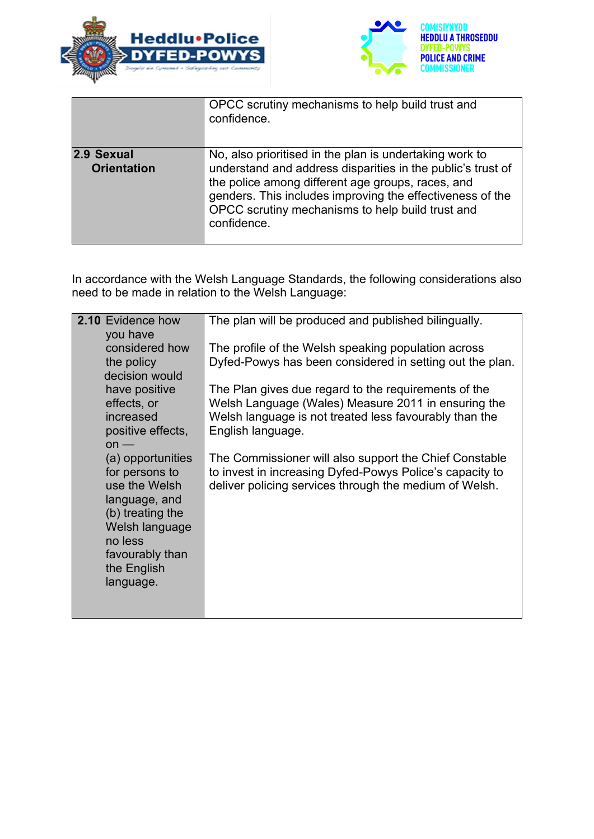



|                                  | OPCC scrutiny mechanisms to help build trust and<br>confidence.                                                                                                                                                                                                                                             |
|----------------------------------|-------------------------------------------------------------------------------------------------------------------------------------------------------------------------------------------------------------------------------------------------------------------------------------------------------------|
| 2.9 Sexual<br><b>Orientation</b> | No, also prioritised in the plan is undertaking work to<br>understand and address disparities in the public's trust of<br>the police among different age groups, races, and<br>genders. This includes improving the effectiveness of the<br>OPCC scrutiny mechanisms to help build trust and<br>confidence. |

In accordance with the Welsh Language Standards, the following considerations also need to be made in relation to the Welsh Language:

| 2.10 Evidence how<br>you have                                                                                                                                         | The plan will be produced and published bilingually.                                                                                                                                       |
|-----------------------------------------------------------------------------------------------------------------------------------------------------------------------|--------------------------------------------------------------------------------------------------------------------------------------------------------------------------------------------|
| considered how<br>the policy                                                                                                                                          | The profile of the Welsh speaking population across<br>Dyfed-Powys has been considered in setting out the plan.                                                                            |
| decision would<br>have positive<br>effects, or<br>increased<br>positive effects,<br>$on$ —                                                                            | The Plan gives due regard to the requirements of the<br>Welsh Language (Wales) Measure 2011 in ensuring the<br>Welsh language is not treated less favourably than the<br>English language. |
| (a) opportunities<br>for persons to<br>use the Welsh<br>language, and<br>(b) treating the<br>Welsh language<br>no less<br>favourably than<br>the English<br>language. | The Commissioner will also support the Chief Constable<br>to invest in increasing Dyfed-Powys Police's capacity to<br>deliver policing services through the medium of Welsh.               |